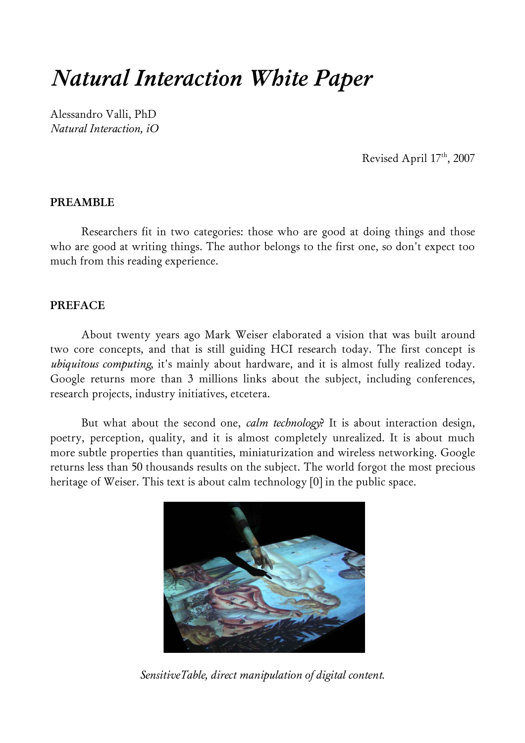# *Natural Interaction White Paper*

Alessandro Valli, PhD *Natural Interaction, iO*

Revised April 17th, 2007

## **PREAMBLE**

Researchers fit in two categories: those who are good at doing things and those who are good at writing things. The author belongs to the first one, so don't expect too much from this reading experience.

# **PREFACE**

About twenty years ago Mark Weiser elaborated a vision that was built around two core concepts, and that is still guiding HCI research today. The first concept is *ubiquitous computing*, it's mainly about hardware, and it is almost fully realized today. Google returns more than 3 millions links about the subject, including conferences, research projects, industry initiatives, etcetera.

But what about the second one, *calm technology*? It is about interaction design, poetry, perception, quality, and it is almost completely unrealized. It is about much more subtle properties than quantities, miniaturization and wireless networking. Google returns less than 50 thousands results on the subject. The world forgot the most precious heritage of Weiser. This text is about calm technology [0] in the public space.



*SensitiveTable, direct manipulation of digital content.*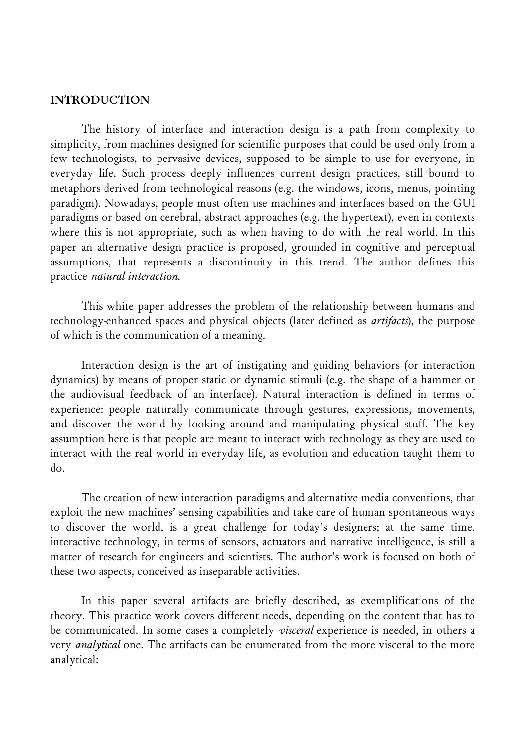## **INTRODUCTION**

The history of interface and interaction design is a path from complexity to simplicity, from machines designed for scientific purposes that could be used only from a few technologists, to pervasive devices, supposed to be simple to use for everyone, in everyday life. Such process deeply influences current design practices, still bound to metaphors derived from technological reasons (e.g. the windows, icons, menus, pointing paradigm). Nowadays, people must often use machines and interfaces based on the GUI paradigms or based on cerebral, abstract approaches (e.g. the hypertext), even in contexts where this is not appropriate, such as when having to do with the real world. In this paper an alternative design practice is proposed, grounded in cognitive and perceptual assumptions, that represents a discontinuity in this trend. The author defines this practice *natural interaction*.

This white paper addresses the problem of the relationship between humans and technology-enhanced spaces and physical objects (later defined as *artifacts*), the purpose of which is the communication of a meaning.

Interaction design is the art of instigating and guiding behaviors (or interaction dynamics) by means of proper static or dynamic stimuli (e.g. the shape of a hammer or the audiovisual feedback of an interface). Natural interaction is defined in terms of experience: people naturally communicate through gestures, expressions, movements, and discover the world by looking around and manipulating physical stuff. The key assumption here is that people are meant to interact with technology as they are used to interact with the real world in everyday life, as evolution and education taught them to do.

The creation of new interaction paradigms and alternative media conventions, that exploit the new machines' sensing capabilities and take care of human spontaneous ways to discover the world, is a great challenge for today's designers; at the same time, interactive technology, in terms of sensors, actuators and narrative intelligence, is still a matter of research for engineers and scientists. The author's work is focused on both of these two aspects, conceived as inseparable activities.

In this paper several artifacts are briefly described, as exemplifications of the theory. This practice work covers different needs, depending on the content that has to be communicated. In some cases a completely *visceral* experience is needed, in others a very *analytical* one. The artifacts can be enumerated from the more visceral to the more analytical: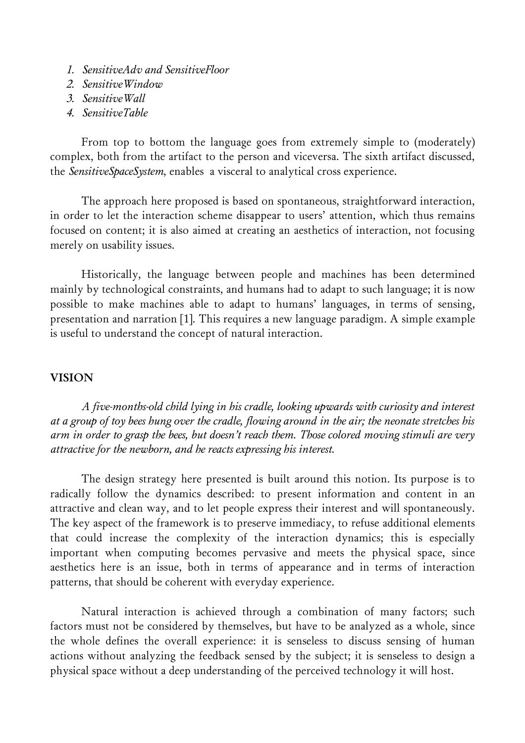- *1. SensitiveAdv and SensitiveFloor*
- *2. SensitiveWindow*
- *3. SensitiveWall*
- *4. SensitiveTable*

From top to bottom the language goes from extremely simple to (moderately) complex, both from the artifact to the person and viceversa. The sixth artifact discussed, the *SensitiveSpaceSystem*, enables a visceral to analytical cross experience.

The approach here proposed is based on spontaneous, straightforward interaction, in order to let the interaction scheme disappear to users' attention, which thus remains focused on content; it is also aimed at creating an aesthetics of interaction, not focusing merely on usability issues.

Historically, the language between people and machines has been determined mainly by technological constraints, and humans had to adapt to such language; it is now possible to make machines able to adapt to humans' languages, in terms of sensing, presentation and narration [1]. This requires a new language paradigm. A simple example is useful to understand the concept of natural interaction.

## **VISION**

*A five-months-old child lying in his cradle, looking upwards with curiosity and interest* at a group of toy bees hung over the cradle, flowing around in the air; the neonate stretches his *arm in order to grasp the bees, but doesn't reach them. Those colored moving stimuli are very attractive for the newborn, and he reacts expressing his interest.*

The design strategy here presented is built around this notion. Its purpose is to radically follow the dynamics described: to present information and content in an attractive and clean way, and to let people express their interest and will spontaneously. The key aspect of the framework is to preserve immediacy, to refuse additional elements that could increase the complexity of the interaction dynamics; this is especially important when computing becomes pervasive and meets the physical space, since aesthetics here is an issue, both in terms of appearance and in terms of interaction patterns, that should be coherent with everyday experience.

Natural interaction is achieved through a combination of many factors; such factors must not be considered by themselves, but have to be analyzed as a whole, since the whole defines the overall experience: it is senseless to discuss sensing of human actions without analyzing the feedback sensed by the subject; it is senseless to design a physical space without a deep understanding of the perceived technology it will host.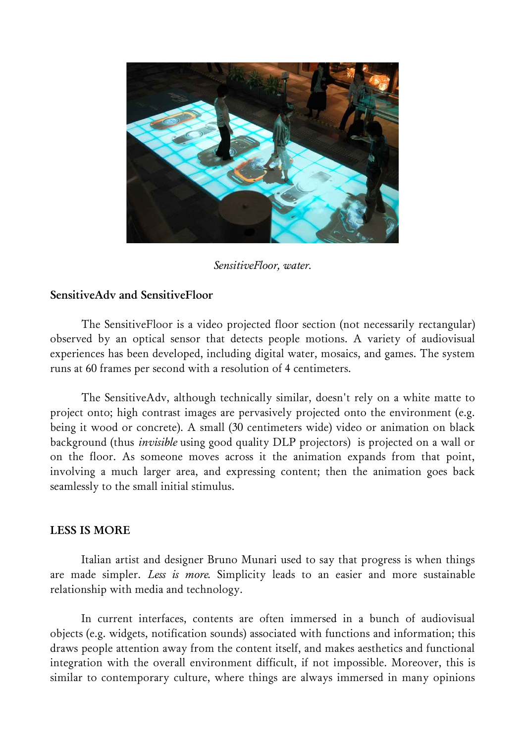

*SensitiveFloor, water.*

## **SensitiveAdv and SensitiveFloor**

The SensitiveFloor is a video projected floor section (not necessarily rectangular) observed by an optical sensor that detects people motions. A variety of audiovisual experiences has been developed, including digital water, mosaics, and games. The system runs at 60 frames per second with a resolution of 4 centimeters.

The SensitiveAdv, although technically similar, doesn't rely on a white matte to project onto; high contrast images are pervasively projected onto the environment (e.g. being it wood or concrete). A small (30 centimeters wide) video or animation on black background (thus *invisible* using good quality DLP projectors) is projected on a wall or on the floor. As someone moves across it the animation expands from that point, involving a much larger area, and expressing content; then the animation goes back seamlessly to the small initial stimulus.

## **LESS IS MORE**

Italian artist and designer Bruno Munari used to say that progress is when things are made simpler. *Less is more*. Simplicity leads to an easier and more sustainable relationship with media and technology.

In current interfaces, contents are often immersed in a bunch of audiovisual objects (e.g. widgets, notification sounds) associated with functions and information; this draws people attention away from the content itself, and makes aesthetics and functional integration with the overall environment difficult, if not impossible. Moreover, this is similar to contemporary culture, where things are always immersed in many opinions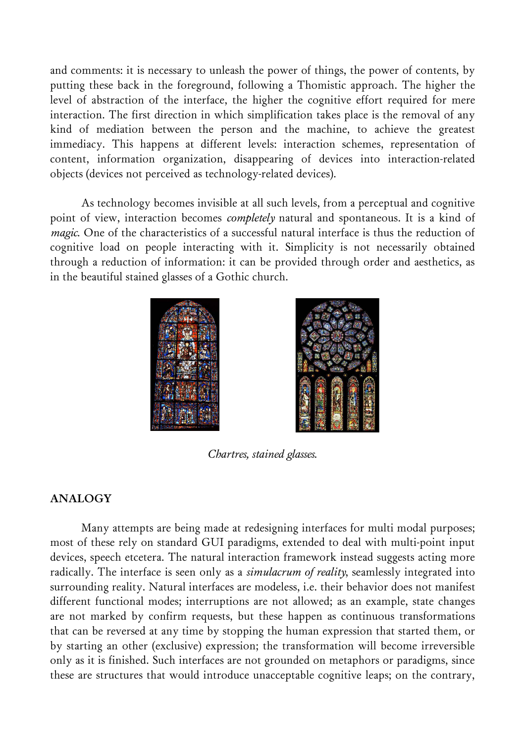and comments: it is necessary to unleash the power of things, the power of contents, by putting these back in the foreground, following a Thomistic approach. The higher the level of abstraction of the interface, the higher the cognitive effort required for mere interaction. The first direction in which simplification takes place is the removal of any kind of mediation between the person and the machine, to achieve the greatest immediacy. This happens at different levels: interaction schemes, representation of content, information organization, disappearing of devices into interaction-related objects (devices not perceived as technology-related devices).

As technology becomes invisible at all such levels, from a perceptual and cognitive point of view, interaction becomes *completely* natural and spontaneous. It is a kind of *magic*. One of the characteristics of a successful natural interface is thus the reduction of cognitive load on people interacting with it. Simplicity is not necessarily obtained through a reduction of information: it can be provided through order and aesthetics, as in the beautiful stained glasses of a Gothic church.





*Chartres, stained glasses.*

# **ANALOGY**

Many attempts are being made at redesigning interfaces for multi modal purposes; most of these rely on standard GUI paradigms, extended to deal with multi-point input devices, speech etcetera. The natural interaction framework instead suggests acting more radically. The interface is seen only as a *simulacrum of reality*, seamlessly integrated into surrounding reality. Natural interfaces are modeless, i.e. their behavior does not manifest different functional modes; interruptions are not allowed; as an example, state changes are not marked by confirm requests, but these happen as continuous transformations that can be reversed at any time by stopping the human expression that started them, or by starting an other (exclusive) expression; the transformation will become irreversible only as it is finished. Such interfaces are not grounded on metaphors or paradigms, since these are structures that would introduce unacceptable cognitive leaps; on the contrary,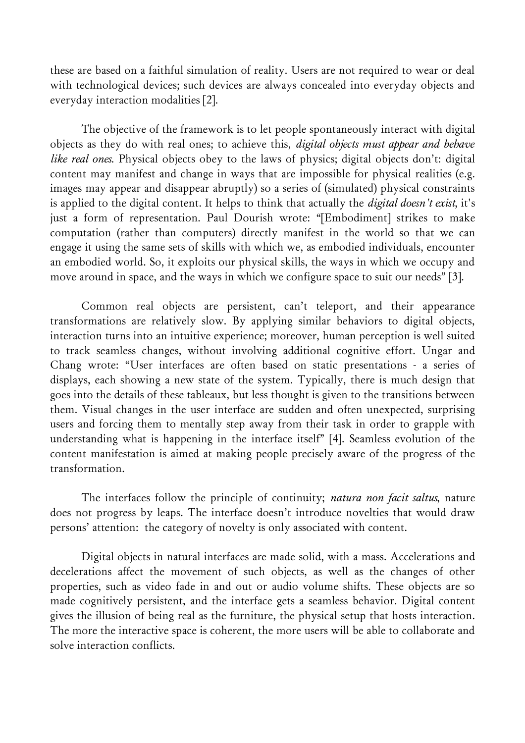these are based on a faithful simulation of reality. Users are not required to wear or deal with technological devices; such devices are always concealed into everyday objects and everyday interaction modalities [2].

The objective of the framework is to let people spontaneously interact with digital objects as they do with real ones; to achieve this, *digital objects must appear and behave like real ones*. Physical objects obey to the laws of physics; digital objects don't: digital content may manifest and change in ways that are impossible for physical realities (e.g. images may appear and disappear abruptly) so a series of (simulated) physical constraints is applied to the digital content. It helps to think that actually the *digital doesn't exist*, it's just a form of representation. Paul Dourish wrote: "[Embodiment] strikes to make computation (rather than computers) directly manifest in the world so that we can engage it using the same sets of skills with which we, as embodied individuals, encounter an embodied world. So, it exploits our physical skills, the ways in which we occupy and move around in space, and the ways in which we configure space to suit our needs" [3].

Common real objects are persistent, can't teleport, and their appearance transformations are relatively slow. By applying similar behaviors to digital objects, interaction turns into an intuitive experience; moreover, human perception is well suited to track seamless changes, without involving additional cognitive effort. Ungar and Chang wrote: "User interfaces are often based on static presentations - a series of displays, each showing a new state of the system. Typically, there is much design that goes into the details of these tableaux, but less thought is given to the transitions between them. Visual changes in the user interface are sudden and often unexpected, surprising users and forcing them to mentally step away from their task in order to grapple with understanding what is happening in the interface itself" [4]. Seamless evolution of the content manifestation is aimed at making people precisely aware of the progress of the transformation.

The interfaces follow the principle of continuity; *natura non facit saltus*, nature does not progress by leaps. The interface doesn't introduce novelties that would draw persons' attention: the category of novelty is only associated with content.

Digital objects in natural interfaces are made solid, with a mass. Accelerations and decelerations affect the movement of such objects, as well as the changes of other properties, such as video fade in and out or audio volume shifts. These objects are so made cognitively persistent, and the interface gets a seamless behavior. Digital content gives the illusion of being real as the furniture, the physical setup that hosts interaction. The more the interactive space is coherent, the more users will be able to collaborate and solve interaction conflicts.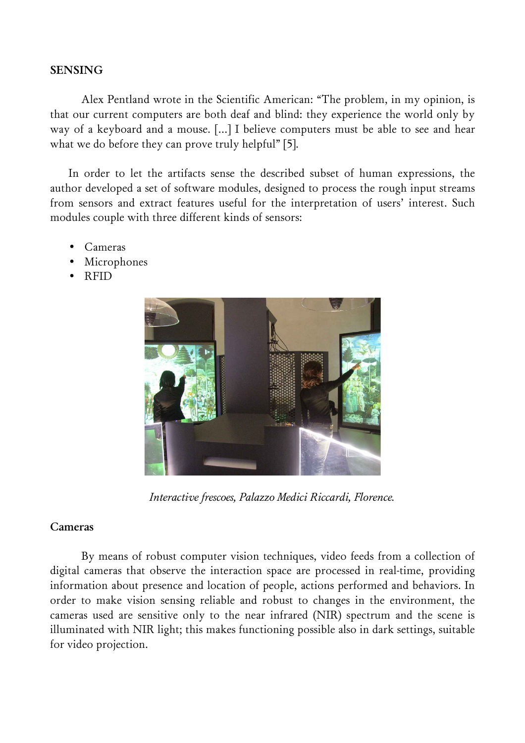## **SENSING**

Alex Pentland wrote in the Scientific American: "The problem, in my opinion, is that our current computers are both deaf and blind: they experience the world only by way of a keyboard and a mouse. […] I believe computers must be able to see and hear what we do before they can prove truly helpful" [5].

In order to let the artifacts sense the described subset of human expressions, the author developed a set of software modules, designed to process the rough input streams from sensors and extract features useful for the interpretation of users' interest. Such modules couple with three different kinds of sensors:

- Cameras
- **Microphones**
- RFID



*Interactive frescoes, Palazzo Medici Riccardi, Florence.*

## **Cameras**

By means of robust computer vision techniques, video feeds from a collection of digital cameras that observe the interaction space are processed in real-time, providing information about presence and location of people, actions performed and behaviors. In order to make vision sensing reliable and robust to changes in the environment, the cameras used are sensitive only to the near infrared (NIR) spectrum and the scene is illuminated with NIR light; this makes functioning possible also in dark settings, suitable for video projection.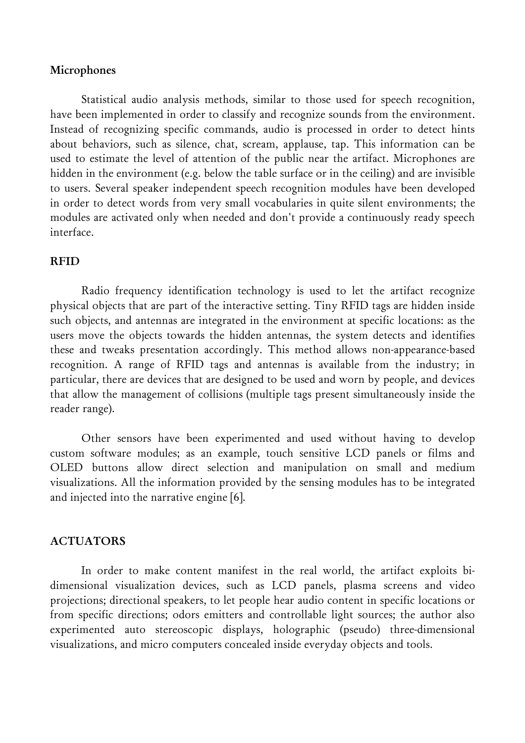## **Microphones**

Statistical audio analysis methods, similar to those used for speech recognition, have been implemented in order to classify and recognize sounds from the environment. Instead of recognizing specific commands, audio is processed in order to detect hints about behaviors, such as silence, chat, scream, applause, tap. This information can be used to estimate the level of attention of the public near the artifact. Microphones are hidden in the environment (e.g. below the table surface or in the ceiling) and are invisible to users. Several speaker independent speech recognition modules have been developed in order to detect words from very small vocabularies in quite silent environments; the modules are activated only when needed and don't provide a continuously ready speech interface.

## **RFID**

Radio frequency identification technology is used to let the artifact recognize physical objects that are part of the interactive setting. Tiny RFID tags are hidden inside such objects, and antennas are integrated in the environment at specific locations: as the users move the objects towards the hidden antennas, the system detects and identifies these and tweaks presentation accordingly. This method allows non-appearance-based recognition. A range of RFID tags and antennas is available from the industry; in particular, there are devices that are designed to be used and worn by people, and devices that allow the management of collisions (multiple tags present simultaneously inside the reader range).

Other sensors have been experimented and used without having to develop custom software modules; as an example, touch sensitive LCD panels or films and OLED buttons allow direct selection and manipulation on small and medium visualizations. All the information provided by the sensing modules has to be integrated and injected into the narrative engine [6].

## **ACTUATORS**

In order to make content manifest in the real world, the artifact exploits bidimensional visualization devices, such as LCD panels, plasma screens and video projections; directional speakers, to let people hear audio content in specific locations or from specific directions; odors emitters and controllable light sources; the author also experimented auto stereoscopic displays, holographic (pseudo) three-dimensional visualizations, and micro computers concealed inside everyday objects and tools.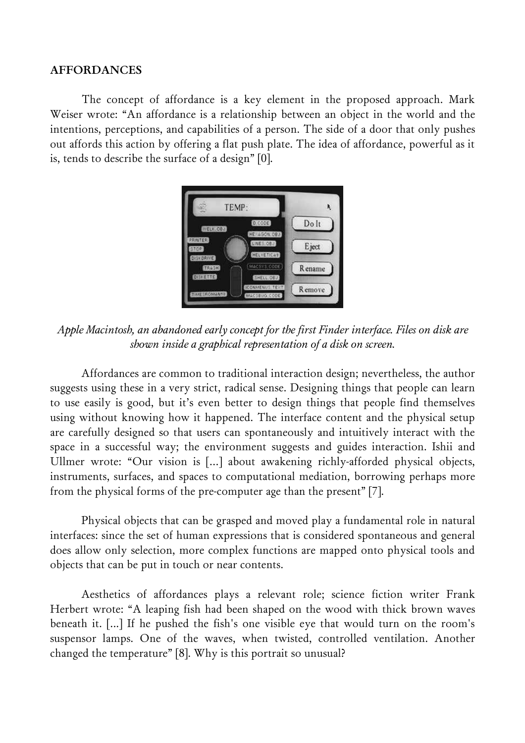## **AFFORDANCES**

The concept of affordance is a key element in the proposed approach. Mark Weiser wrote: "An affordance is a relationship between an object in the world and the intentions, perceptions, and capabilities of a person. The side of a door that only pushes out affords this action by offering a flat push plate. The idea of affordance, powerful as it is, tends to describe the surface of a design" [0].



*Apple Macintosh, an abandoned early concept for the first Finder interface. Files on disk are shown inside a graphical representation of a disk on screen.*

Affordances are common to traditional interaction design; nevertheless, the author suggests using these in a very strict, radical sense. Designing things that people can learn to use easily is good, but it's even better to design things that people find themselves using without knowing how it happened. The interface content and the physical setup are carefully designed so that users can spontaneously and intuitively interact with the space in a successful way; the environment suggests and guides interaction. Ishii and Ullmer wrote: "Our vision is [...] about awakening richly-afforded physical objects, instruments, surfaces, and spaces to computational mediation, borrowing perhaps more from the physical forms of the pre-computer age than the present" [7].

Physical objects that can be grasped and moved play a fundamental role in natural interfaces: since the set of human expressions that is considered spontaneous and general does allow only selection, more complex functions are mapped onto physical tools and objects that can be put in touch or near contents.

Aesthetics of affordances plays a relevant role; science fiction writer Frank Herbert wrote: "A leaping fish had been shaped on the wood with thick brown waves beneath it. [...] If he pushed the fish's one visible eye that would turn on the room's suspensor lamps. One of the waves, when twisted, controlled ventilation. Another changed the temperature" [8]. Why is this portrait so unusual?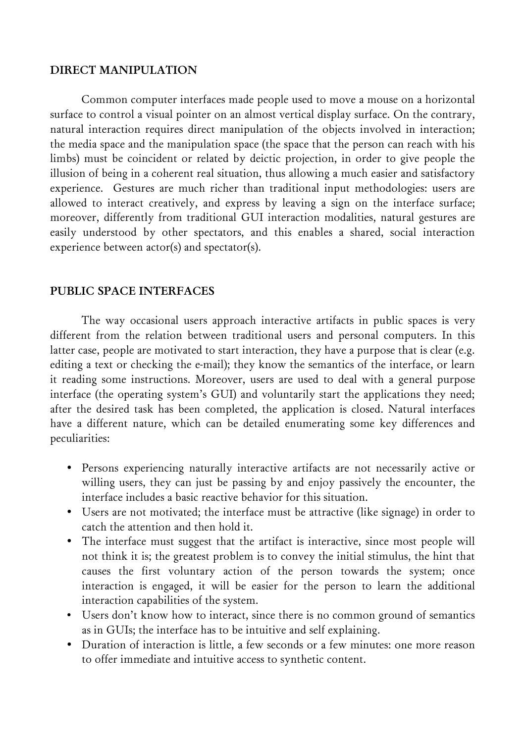## **DIRECT MANIPULATION**

Common computer interfaces made people used to move a mouse on a horizontal surface to control a visual pointer on an almost vertical display surface. On the contrary, natural interaction requires direct manipulation of the objects involved in interaction; the media space and the manipulation space (the space that the person can reach with his limbs) must be coincident or related by deictic projection, in order to give people the illusion of being in a coherent real situation, thus allowing a much easier and satisfactory experience. Gestures are much richer than traditional input methodologies: users are allowed to interact creatively, and express by leaving a sign on the interface surface; moreover, differently from traditional GUI interaction modalities, natural gestures are easily understood by other spectators, and this enables a shared, social interaction experience between actor(s) and spectator(s).

## **PUBLIC SPACE INTERFACES**

The way occasional users approach interactive artifacts in public spaces is very different from the relation between traditional users and personal computers. In this latter case, people are motivated to start interaction, they have a purpose that is clear (e.g. editing a text or checking the e-mail); they know the semantics of the interface, or learn it reading some instructions. Moreover, users are used to deal with a general purpose interface (the operating system's GUI) and voluntarily start the applications they need; after the desired task has been completed, the application is closed. Natural interfaces have a different nature, which can be detailed enumerating some key differences and peculiarities:

- Persons experiencing naturally interactive artifacts are not necessarily active or willing users, they can just be passing by and enjoy passively the encounter, the interface includes a basic reactive behavior for this situation.
- Users are not motivated; the interface must be attractive (like signage) in order to catch the attention and then hold it.
- The interface must suggest that the artifact is interactive, since most people will not think it is; the greatest problem is to convey the initial stimulus, the hint that causes the first voluntary action of the person towards the system; once interaction is engaged, it will be easier for the person to learn the additional interaction capabilities of the system.
- Users don't know how to interact, since there is no common ground of semantics as in GUIs; the interface has to be intuitive and self explaining.
- Duration of interaction is little, a few seconds or a few minutes: one more reason to offer immediate and intuitive access to synthetic content.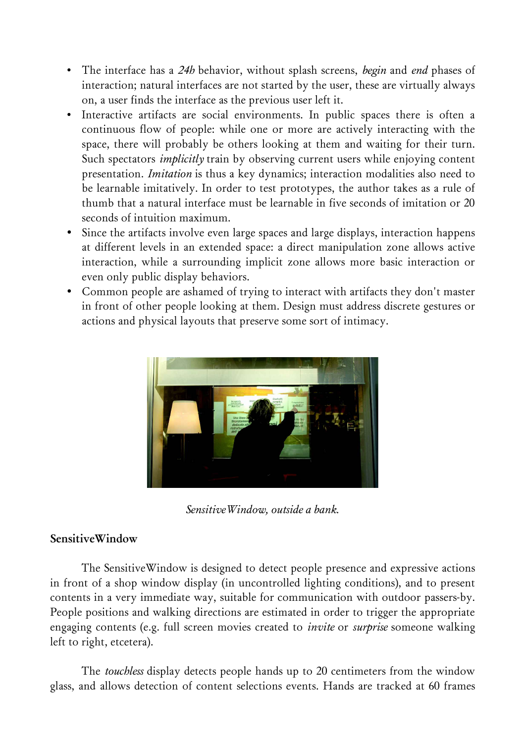- The interface has a *24h* behavior, without splash screens, *begin* and *end* phases of interaction; natural interfaces are not started by the user, these are virtually always on, a user finds the interface as the previous user left it.
- Interactive artifacts are social environments. In public spaces there is often a continuous flow of people: while one or more are actively interacting with the space, there will probably be others looking at them and waiting for their turn. Such spectators *implicitly* train by observing current users while enjoying content presentation. *Imitation* is thus a key dynamics; interaction modalities also need to be learnable imitatively. In order to test prototypes, the author takes as a rule of thumb that a natural interface must be learnable in five seconds of imitation or 20 seconds of intuition maximum.
- Since the artifacts involve even large spaces and large displays, interaction happens at different levels in an extended space: a direct manipulation zone allows active interaction, while a surrounding implicit zone allows more basic interaction or even only public display behaviors.
- Common people are ashamed of trying to interact with artifacts they don't master in front of other people looking at them. Design must address discrete gestures or actions and physical layouts that preserve some sort of intimacy.



*SensitiveWindow, outside a bank.*

# **SensitiveWindow**

The SensitiveWindow is designed to detect people presence and expressive actions in front of a shop window display (in uncontrolled lighting conditions), and to present contents in a very immediate way, suitable for communication with outdoor passers-by. People positions and walking directions are estimated in order to trigger the appropriate engaging contents (e.g. full screen movies created to *invite* or *surprise* someone walking left to right, etcetera).

The *touchless* display detects people hands up to 20 centimeters from the window glass, and allows detection of content selections events. Hands are tracked at 60 frames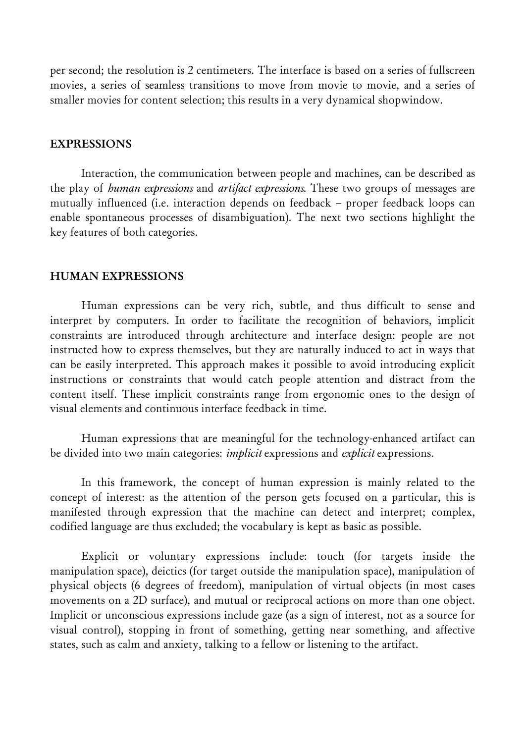per second; the resolution is 2 centimeters. The interface is based on a series of fullscreen movies, a series of seamless transitions to move from movie to movie, and a series of smaller movies for content selection; this results in a very dynamical shopwindow.

## **EXPRESSIONS**

Interaction, the communication between people and machines, can be described as the play of *human expressions* and *artifact expressions*. These two groups of messages are mutually influenced (i.e. interaction depends on feedback – proper feedback loops can enable spontaneous processes of disambiguation). The next two sections highlight the key features of both categories.

## **HUMAN EXPRESSIONS**

Human expressions can be very rich, subtle, and thus difficult to sense and interpret by computers. In order to facilitate the recognition of behaviors, implicit constraints are introduced through architecture and interface design: people are not instructed how to express themselves, but they are naturally induced to act in ways that can be easily interpreted. This approach makes it possible to avoid introducing explicit instructions or constraints that would catch people attention and distract from the content itself. These implicit constraints range from ergonomic ones to the design of visual elements and continuous interface feedback in time.

Human expressions that are meaningful for the technology-enhanced artifact can be divided into two main categories: *implicit* expressions and *explicit* expressions.

In this framework, the concept of human expression is mainly related to the concept of interest: as the attention of the person gets focused on a particular, this is manifested through expression that the machine can detect and interpret; complex, codified language are thus excluded; the vocabulary is kept as basic as possible.

Explicit or voluntary expressions include: touch (for targets inside the manipulation space), deictics (for target outside the manipulation space), manipulation of physical objects (6 degrees of freedom), manipulation of virtual objects (in most cases movements on a 2D surface), and mutual or reciprocal actions on more than one object. Implicit or unconscious expressions include gaze (as a sign of interest, not as a source for visual control), stopping in front of something, getting near something, and affective states, such as calm and anxiety, talking to a fellow or listening to the artifact.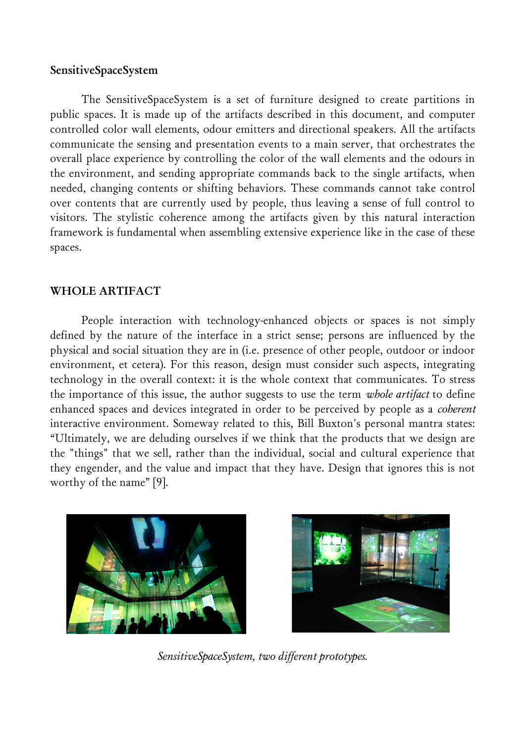## **SensitiveSpaceSystem**

The SensitiveSpaceSystem is a set of furniture designed to create partitions in public spaces. It is made up of the artifacts described in this document, and computer controlled color wall elements, odour emitters and directional speakers. All the artifacts communicate the sensing and presentation events to a main server, that orchestrates the overall place experience by controlling the color of the wall elements and the odours in the environment, and sending appropriate commands back to the single artifacts, when needed, changing contents or shifting behaviors. These commands cannot take control over contents that are currently used by people, thus leaving a sense of full control to visitors. The stylistic coherence among the artifacts given by this natural interaction framework is fundamental when assembling extensive experience like in the case of these spaces.

# **WHOLE ARTIFACT**

People interaction with technology-enhanced objects or spaces is not simply defined by the nature of the interface in a strict sense; persons are influenced by the physical and social situation they are in (i.e. presence of other people, outdoor or indoor environment, et cetera). For this reason, design must consider such aspects, integrating technology in the overall context: it is the whole context that communicates. To stress the importance of this issue, the author suggests to use the term *whole artifact* to define enhanced spaces and devices integrated in order to be perceived by people as a *coherent* interactive environment. Someway related to this, Bill Buxton's personal mantra states: "Ultimately, we are deluding ourselves if we think that the products that we design are the "things" that we sell, rather than the individual, social and cultural experience that they engender, and the value and impact that they have. Design that ignores this is not worthy of the name" [9].





*SensitiveSpaceSystem, two different prototypes.*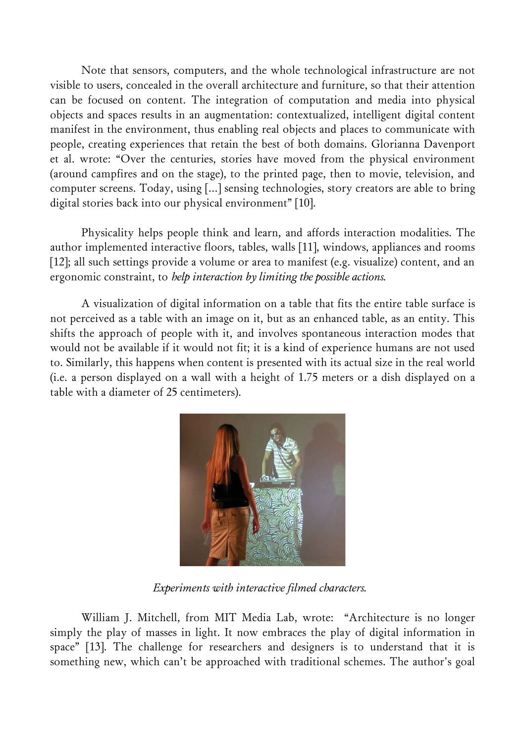Note that sensors, computers, and the whole technological infrastructure are not visible to users, concealed in the overall architecture and furniture, so that their attention can be focused on content. The integration of computation and media into physical objects and spaces results in an augmentation: contextualized, intelligent digital content manifest in the environment, thus enabling real objects and places to communicate with people, creating experiences that retain the best of both domains. Glorianna Davenport et al. wrote: "Over the centuries, stories have moved from the physical environment (around campfires and on the stage), to the printed page, then to movie, television, and computer screens. Today, using […] sensing technologies, story creators are able to bring digital stories back into our physical environment" [10].

Physicality helps people think and learn, and affords interaction modalities. The author implemented interactive floors, tables, walls [11], windows, appliances and rooms [12]; all such settings provide a volume or area to manifest (e.g. visualize) content, and an ergonomic constraint, to *help interaction by limiting the possible actions*.

A visualization of digital information on a table that fits the entire table surface is not perceived as a table with an image on it, but as an enhanced table, as an entity. This shifts the approach of people with it, and involves spontaneous interaction modes that would not be available if it would not fit; it is a kind of experience humans are not used to. Similarly, this happens when content is presented with its actual size in the real world (i.e. a person displayed on a wall with a height of 1.75 meters or a dish displayed on a table with a diameter of 25 centimeters).



*Experiments with interactive filmed characters.*

William J. Mitchell, from MIT Media Lab, wrote: "Architecture is no longer simply the play of masses in light. It now embraces the play of digital information in space" [13]. The challenge for researchers and designers is to understand that it is something new, which can't be approached with traditional schemes. The author's goal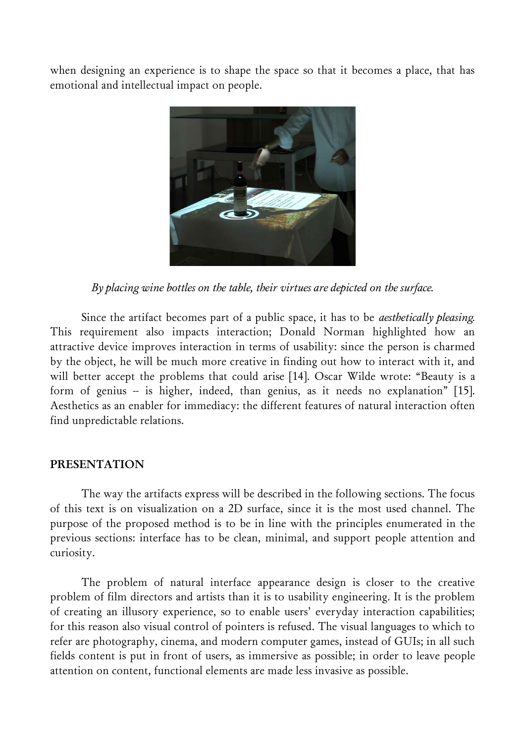when designing an experience is to shape the space so that it becomes a place, that has emotional and intellectual impact on people.



*By placing wine bottles on the table, their virtues are depicted on the surface.*

Since the artifact becomes part of a public space, it has to be *aesthetically pleasing*. This requirement also impacts interaction; Donald Norman highlighted how an attractive device improves interaction in terms of usability: since the person is charmed by the object, he will be much more creative in finding out how to interact with it, and will better accept the problems that could arise [14]. Oscar Wilde wrote: "Beauty is a form of genius -- is higher, indeed, than genius, as it needs no explanation" [15]. Aesthetics as an enabler for immediacy: the different features of natural interaction often find unpredictable relations.

# **PRESENTATION**

The way the artifacts express will be described in the following sections. The focus of this text is on visualization on a 2D surface, since it is the most used channel. The purpose of the proposed method is to be in line with the principles enumerated in the previous sections: interface has to be clean, minimal, and support people attention and curiosity.

The problem of natural interface appearance design is closer to the creative problem of film directors and artists than it is to usability engineering. It is the problem of creating an illusory experience, so to enable users' everyday interaction capabilities; for this reason also visual control of pointers is refused. The visual languages to which to refer are photography, cinema, and modern computer games, instead of GUIs; in all such fields content is put in front of users, as immersive as possible; in order to leave people attention on content, functional elements are made less invasive as possible.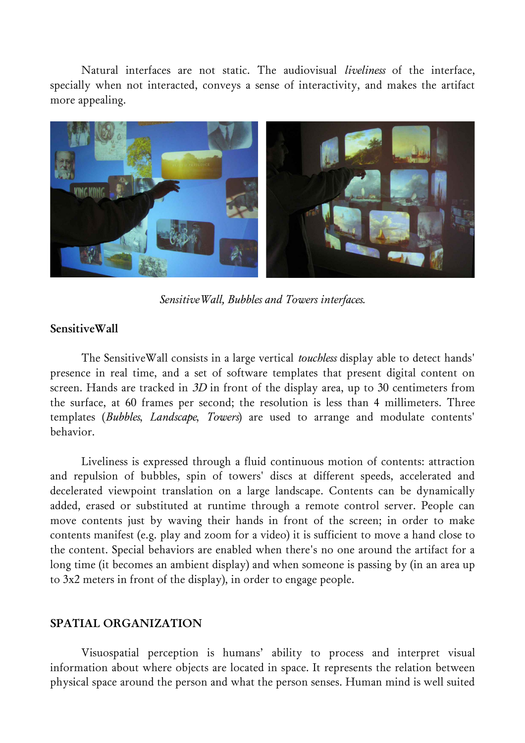Natural interfaces are not static. The audiovisual *liveliness* of the interface, specially when not interacted, conveys a sense of interactivity, and makes the artifact more appealing.



*SensitiveWall, Bubbles and Towers interfaces.*

## **SensitiveWall**

The SensitiveWall consists in a large vertical *touchless* display able to detect hands' presence in real time, and a set of software templates that present digital content on screen. Hands are tracked in *3D* in front of the display area, up to 30 centimeters from the surface, at 60 frames per second; the resolution is less than 4 millimeters. Three templates (*Bubbles*, *Landscape*, *Towers*) are used to arrange and modulate contents' behavior.

Liveliness is expressed through a fluid continuous motion of contents: attraction and repulsion of bubbles, spin of towers' discs at different speeds, accelerated and decelerated viewpoint translation on a large landscape. Contents can be dynamically added, erased or substituted at runtime through a remote control server. People can move contents just by waving their hands in front of the screen; in order to make contents manifest (e.g. play and zoom for a video) it is sufficient to move a hand close to the content. Special behaviors are enabled when there's no one around the artifact for a long time (it becomes an ambient display) and when someone is passing by (in an area up to 3x2 meters in front of the display), in order to engage people.

## **SPATIAL ORGANIZATION**

Visuospatial perception is humans' ability to process and interpret visual information about where objects are located in space. It represents the relation between physical space around the person and what the person senses. Human mind is well suited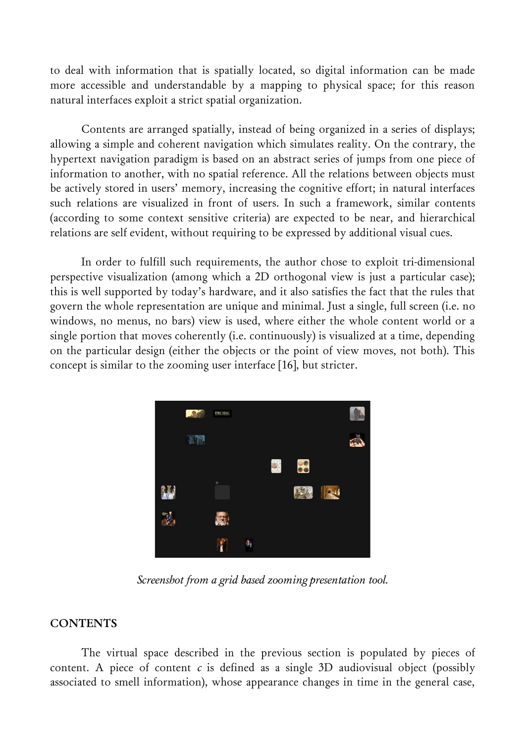to deal with information that is spatially located, so digital information can be made more accessible and understandable by a mapping to physical space; for this reason natural interfaces exploit a strict spatial organization.

Contents are arranged spatially, instead of being organized in a series of displays; allowing a simple and coherent navigation which simulates reality. On the contrary, the hypertext navigation paradigm is based on an abstract series of jumps from one piece of information to another, with no spatial reference. All the relations between objects must be actively stored in users' memory, increasing the cognitive effort; in natural interfaces such relations are visualized in front of users. In such a framework, similar contents (according to some context sensitive criteria) are expected to be near, and hierarchical relations are self evident, without requiring to be expressed by additional visual cues.

In order to fulfill such requirements, the author chose to exploit tri-dimensional perspective visualization (among which a 2D orthogonal view is just a particular case); this is well supported by today's hardware, and it also satisfies the fact that the rules that govern the whole representation are unique and minimal. Just a single, full screen (i.e. no windows, no menus, no bars) view is used, where either the whole content world or a single portion that moves coherently (i.e. continuously) is visualized at a time, depending on the particular design (either the objects or the point of view moves, not both). This concept is similar to the zooming user interface [16], but stricter.



*Screenshot from a grid based zooming presentation tool.*

# **CONTENTS**

The virtual space described in the previous section is populated by pieces of content. A piece of content  $c$  is defined as a single 3D audiovisual object (possibly associated to smell information), whose appearance changes in time in the general case,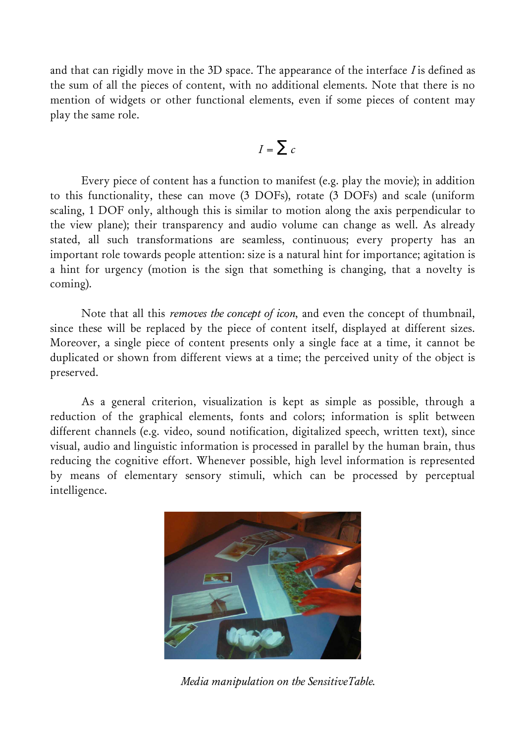and that can rigidly move in the 3D space. The appearance of the interface *I* is defined as the sum of all the pieces of content, with no additional elements. Note that there is no mention of widgets or other functional elements, even if some pieces of content may play the same role.

$$
I=\sum c
$$

Every piece of content has a function to manifest (e.g. play the movie); in addition to this functionality, these can move (3 DOFs), rotate (3 DOFs) and scale (uniform scaling, 1 DOF only, although this is similar to motion along the axis perpendicular to the view plane); their transparency and audio volume can change as well. As already stated, all such transformations are seamless, continuous; every property has an important role towards people attention: size is a natural hint for importance; agitation is a hint for urgency (motion is the sign that something is changing, that a novelty is coming).

Note that all this *removes the concept of icon*, and even the concept of thumbnail, since these will be replaced by the piece of content itself, displayed at different sizes. Moreover, a single piece of content presents only a single face at a time, it cannot be duplicated or shown from different views at a time; the perceived unity of the object is preserved.

As a general criterion, visualization is kept as simple as possible, through a reduction of the graphical elements, fonts and colors; information is split between different channels (e.g. video, sound notification, digitalized speech, written text), since visual, audio and linguistic information is processed in parallel by the human brain, thus reducing the cognitive effort. Whenever possible, high level information is represented by means of elementary sensory stimuli, which can be processed by perceptual intelligence.



*Media manipulation on the SensitiveTable.*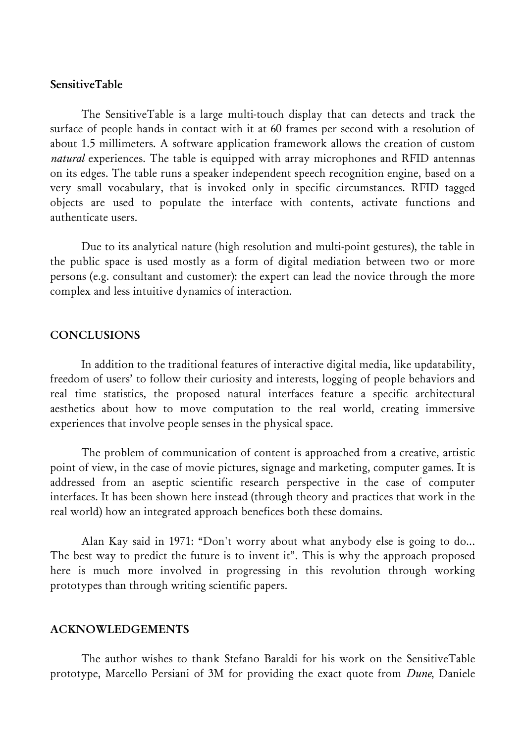## **SensitiveTable**

The SensitiveTable is a large multi-touch display that can detects and track the surface of people hands in contact with it at 60 frames per second with a resolution of about 1.5 millimeters. A software application framework allows the creation of custom *natural* experiences. The table is equipped with array microphones and RFID antennas on its edges. The table runs a speaker independent speech recognition engine, based on a very small vocabulary, that is invoked only in specific circumstances. RFID tagged objects are used to populate the interface with contents, activate functions and authenticate users.

Due to its analytical nature (high resolution and multi-point gestures), the table in the public space is used mostly as a form of digital mediation between two or more persons (e.g. consultant and customer): the expert can lead the novice through the more complex and less intuitive dynamics of interaction.

## **CONCLUSIONS**

In addition to the traditional features of interactive digital media, like updatability, freedom of users' to follow their curiosity and interests, logging of people behaviors and real time statistics, the proposed natural interfaces feature a specific architectural aesthetics about how to move computation to the real world, creating immersive experiences that involve people senses in the physical space.

The problem of communication of content is approached from a creative, artistic point of view, in the case of movie pictures, signage and marketing, computer games. It is addressed from an aseptic scientific research perspective in the case of computer interfaces. It has been shown here instead (through theory and practices that work in the real world) how an integrated approach benefices both these domains.

Alan Kay said in 1971: "Don't worry about what anybody else is going to do... The best way to predict the future is to invent it". This is why the approach proposed here is much more involved in progressing in this revolution through working prototypes than through writing scientific papers.

#### **ACKNOWLEDGEMENTS**

The author wishes to thank Stefano Baraldi for his work on the SensitiveTable prototype, Marcello Persiani of 3M for providing the exact quote from *Dune*, Daniele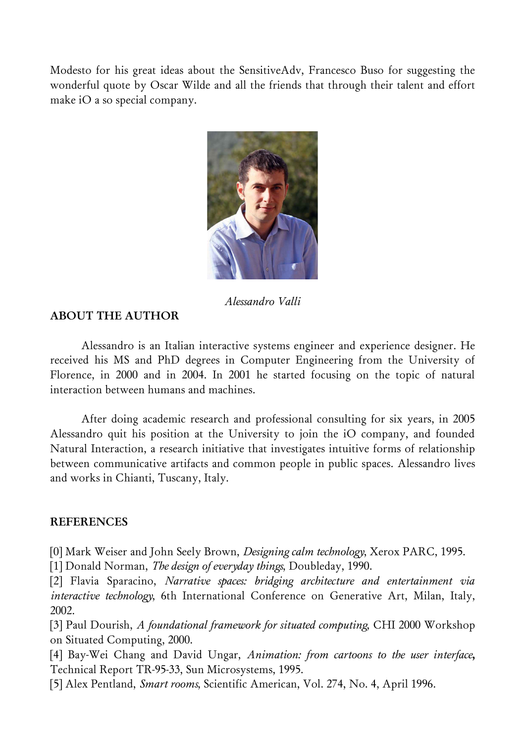Modesto for his great ideas about the SensitiveAdv, Francesco Buso for suggesting the wonderful quote by Oscar Wilde and all the friends that through their talent and effort make iO a so special company.



*Alessandro Valli*

# **ABOUT THE AUTHOR**

Alessandro is an Italian interactive systems engineer and experience designer. He received his MS and PhD degrees in Computer Engineering from the University of Florence, in 2000 and in 2004. In 2001 he started focusing on the topic of natural interaction between humans and machines.

After doing academic research and professional consulting for six years, in 2005 Alessandro quit his position at the University to join the iO company, and founded Natural Interaction, a research initiative that investigates intuitive forms of relationship between communicative artifacts and common people in public spaces. Alessandro lives and works in Chianti, Tuscany, Italy.

## **REFERENCES**

[0] Mark Weiser and John Seely Brown, *Designing calm technology*, Xerox PARC, 1995.

[1] Donald Norman, *The design of everyday things*, Doubleday, 1990.

[2] Flavia Sparacino, *Narrative spaces: bridging architecture and entertainment via interactive technology*, 6th International Conference on Generative Art, Milan, Italy, 2002.

[3] Paul Dourish, *A foundational framework for situated computing*, CHI 2000 Workshop on Situated Computing, 2000.

[4] Bay-Wei Chang and David Ungar, *Animation: from cartoons to the user interface***,** Technical Report TR-95-33, Sun Microsystems, 1995.

[5] Alex Pentland, *Smart rooms*, Scientific American, Vol. 274, No. 4, April 1996.